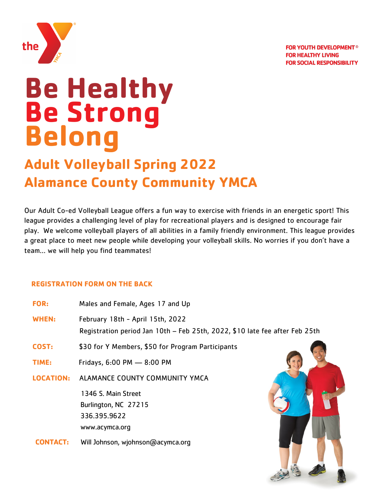



# **Be Healthy Be Strong Belong**

## **Adult Volleyball Spring 2022 Alamance County Community YMCA**

Our Adult Co-ed Volleyball League offers a fun way to exercise with friends in an energetic sport! This league provides a challenging level of play for recreational players and is designed to encourage fair play. We welcome volleyball players of all abilities in a family friendly environment. This league provides a great place to meet new people while developing your volleyball skills. No worries if you don't have a team… we will help you find teammates!

#### **REGISTRATION FORM ON THE BACK**

| <b>FOR:</b>      | Males and Female, Ages 17 and Up                                                                                |  |
|------------------|-----------------------------------------------------------------------------------------------------------------|--|
| <b>WHEN:</b>     | February 18th - April 15th, 2022<br>Registration period Jan 10th - Feb 25th, 2022, \$10 late fee after Feb 25th |  |
| COST:            | \$30 for Y Members, \$50 for Program Participants                                                               |  |
| TIME:            | Fridays, 6:00 PM - 8:00 PM                                                                                      |  |
| <b>LOCATION:</b> | ALAMANCE COUNTY COMMUNITY YMCA                                                                                  |  |
|                  | 1346 S. Main Street                                                                                             |  |
|                  | Burlington, NC 27215                                                                                            |  |
|                  | 336.395.9622                                                                                                    |  |
|                  | www.acymca.org                                                                                                  |  |
| <b>INTACT:</b>   | Will Johnson, wjohnson@acymca.org                                                                               |  |